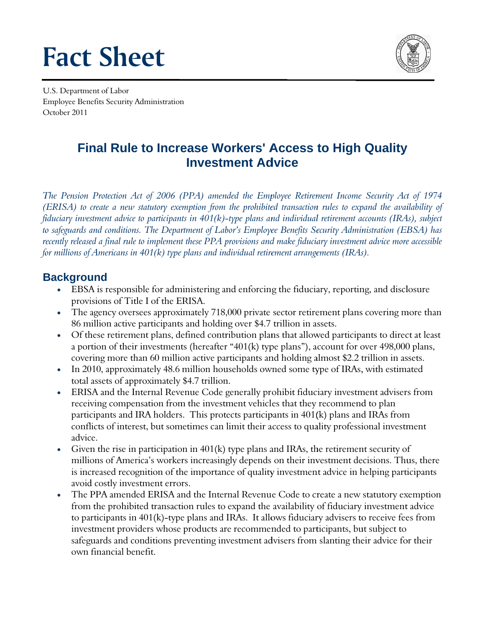# **Fact Sheet**



U.S. Department of Labor **Employee Benefits Security Administration** October 2011

# **Final Rule to Increase Workers' Access to High Quality Investment Advice**

The Pension Protection Act of 2006 (PPA) amended the Employee Retirement Income Security Act of 1974 (ERISA) to create a new statutory exemption from the prohibited transaction rules to expand the availability of fiduciary investment advice to participants in  $401(k)$ -type plans and individual retirement accounts (IRAs), subject to safeguards and conditions. The Department of Labor's Employee Benefits Security Administration (EBSA) has recently released a final rule to implement these PPA provisions and make fiduciary investment advice more accessible for millions of Americans in  $401(k)$  type plans and individual retirement arrangements (IRAs).

#### **Background**

- EBSA is responsible for administering and enforcing the fiduciary, reporting, and disclosure provisions of Title I of the ERISA.
- The agency oversees approximately 718,000 private sector retirement plans covering more than 86 million active participants and holding over \$4.7 trillion in assets.
- Of these retirement plans, defined contribution plans that allowed participants to direct at least a portion of their investments (hereafter "401(k) type plans"), account for over 498,000 plans, covering more than 60 million active participants and holding almost \$2.2 trillion in assets.
- In 2010, approximately 48.6 million households owned some type of IRAs, with estimated total assets of approximately \$4.7 trillion.
- ERISA and the Internal Revenue Code generally prohibit fiduciary investment advisers from receiving compensation from the investment vehicles that they recommend to plan participants and IRA holders. This protects participants in 401(k) plans and IRAs from conflicts of interest, but sometimes can limit their access to quality professional investment advice.
- Given the rise in participation in  $401(k)$  type plans and IRAs, the retirement security of millions of America's workers increasingly depends on their investment decisions. Thus, there is increased recognition of the importance of quality investment advice in helping participants avoid costly investment errors.
- The PPA amended ERISA and the Internal Revenue Code to create a new statutory exemption from the prohibited transaction rules to expand the availability of fiduciary investment advice to participants in 401(k)-type plans and IRAs. It allows fiduciary advisers to receive fees from investment providers whose products are recommended to participants, but subject to safeguards and conditions preventing investment advisers from slanting their advice for their own financial benefit.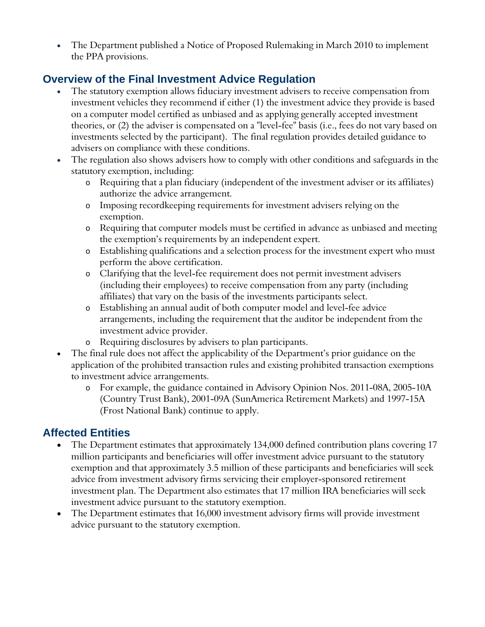The Department published a Notice of Proposed Rulemaking in March 2010 to implement the PPA provisions.

## **Overview of the Final Investment Advice Regulation**

- The statutory exemption allows fiduciary investment advisers to receive compensation from investment vehicles they recommend if either (1) the investment advice they provide is based on a computer model certified as unbiased and as applying generally accepted investment theories, or (2) the adviser is compensated on a "level-fee" basis (i.e., fees do not vary based on investments selected by the participant). The final regulation provides detailed guidance to advisers on compliance with these conditions.
- The regulation also shows advisers how to comply with other conditions and safeguards in the statutory exemption, including:
	- o Requiring that a plan fiduciary (independent of the investment adviser or its affiliates) authorize the advice arrangement.
	- o Imposing recordkeeping requirements for investment advisers relying on the exemption.
	- o Requiring that computer models must be certified in advance as unbiased and meeting the exemption's requirements by an independent expert.
	- o Establishing qualifications and a selection process for the investment expert who must perform the above certification.
	- o Clarifying that the level-fee requirement does not permit investment advisers (including their employees) to receive compensation from any party (including affiliates) that vary on the basis of the investments participants select.
	- o Establishing an annual audit of both computer model and level-fee advice arrangements, including the requirement that the auditor be independent from the investment advice provider.
	- o Requiring disclosures by advisers to plan participants.
- The final rule does not affect the applicability of the Department's prior guidance on the application of the prohibited transaction rules and existing prohibited transaction exemptions to investment advice arrangements.
	- o For example, the guidance contained in Advisory Opinion Nos. 2011-08A, 2005-10A (Country Trust Bank), 2001-09A (SunAmerica Retirement Markets) and 1997-15A (Frost National Bank) continue to apply.

## **Affected Entities**

- The Department estimates that approximately 134,000 defined contribution plans covering 17 million participants and beneficiaries will offer investment advice pursuant to the statutory exemption and that approximately 3.5 million of these participants and beneficiaries will seek advice from investment advisory firms servicing their employer-sponsored retirement investment plan. The Department also estimates that 17 million IRA beneficiaries will seek investment advice pursuant to the statutory exemption.
- The Department estimates that 16,000 investment advisory firms will provide investment advice pursuant to the statutory exemption.